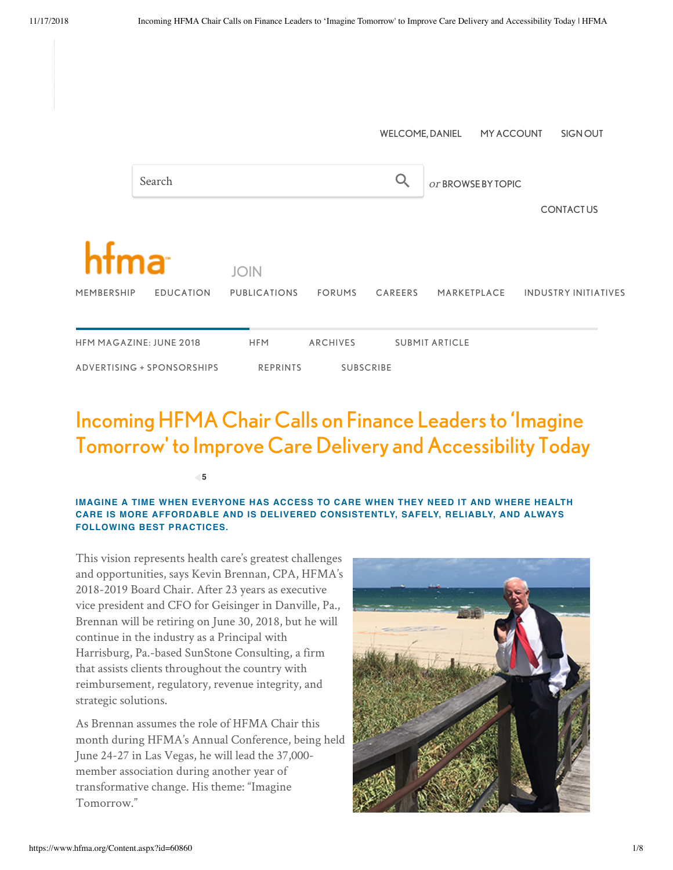|                                |                  |                     |                  |         | <b>WELCOME, DANIEL</b> | MY ACCOUNT  |  | SIGN OUT                    |
|--------------------------------|------------------|---------------------|------------------|---------|------------------------|-------------|--|-----------------------------|
| Search                         |                  |                     |                  |         | or BROWSE BY TOPIC     |             |  |                             |
|                                |                  |                     |                  |         |                        |             |  | <b>CONTACTUS</b>            |
| hfma                           |                  | <b>JOIN</b>         |                  |         |                        |             |  |                             |
| MEMBERSHIP                     | <b>EDUCATION</b> | <b>PUBLICATIONS</b> | <b>FORUMS</b>    | CAREERS |                        | MARKETPLACE |  | <b>INDUSTRY INITIATIVES</b> |
| <b>HFM MAGAZINE: JUNE 2018</b> |                  | <b>HFM</b>          | <b>ARCHIVES</b>  |         | <b>SUBMIT ARTICLE</b>  |             |  |                             |
| ADVERTISING + SPONSORSHIPS     |                  | <b>REPRINTS</b>     | <b>SUBSCRIBE</b> |         |                        |             |  |                             |

# Incoming HFMA Chair Calls on Finance Leaders to 'Imagine Tomorrow' to Improve Care Delivery and Accessibility Today

**5**

### **IMAGINE A TIME WHEN EVERYONE HAS ACCESS TO CARE WHEN THEY NEED IT AND WHERE HEALTH CARE IS MORE AFFORDABLE AND IS DELIVERED CONSISTENTLY, SAFELY, RELIABLY, AND ALWAYS FOLLOWING BEST PRACTICES.**

This vision represents health care's greatest challenges and opportunities, says Kevin Brennan, CPA, HFMA's 2018-2019 Board Chair. After 23 years as executive vice president and CFO for Geisinger in Danville, Pa., Brennan will be retiring on June 30, 2018, but he will continue in the industry as a Principal with Harrisburg, Pa.-based SunStone Consulting, a firm that assists clients throughout the country with reimbursement, regulatory, revenue integrity, and strategic solutions.

As Brennan assumes the role of HFMA Chair this month during HFMA's Annual Conference, being held June 24-27 in Las Vegas, he will lead the 37,000 member association during another year of transformative change. His theme: "Imagine Tomorrow."

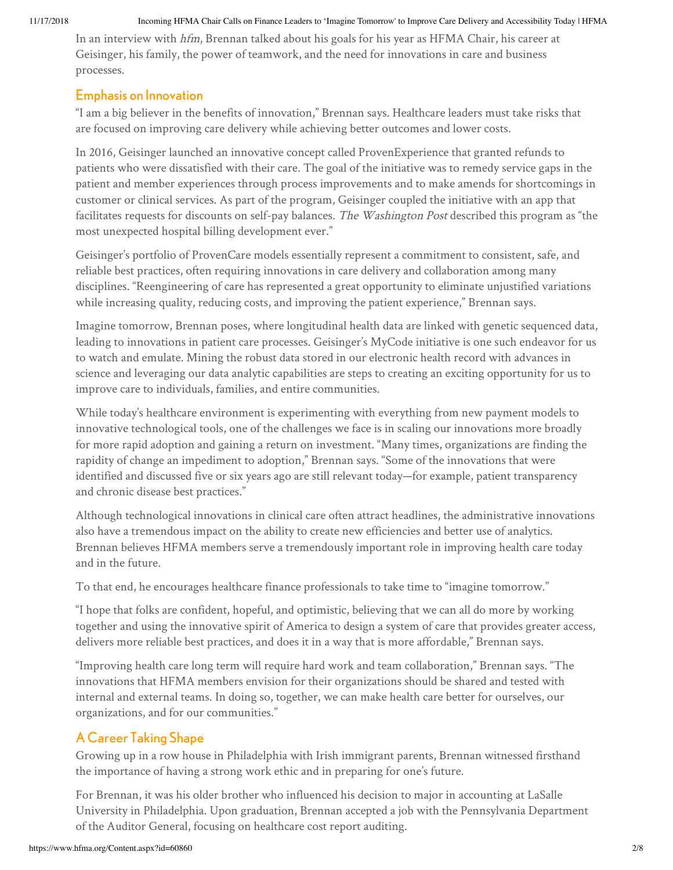#### 11/17/2018 Incoming HFMA Chair Calls on Finance Leaders to 'Imagine Tomorrow' to Improve Care Delivery and Accessibility Today | HFMA

In an interview with hfm, Brennan talked about his goals for his year as HFMA Chair, his career at Geisinger, his family, the power of teamwork, and the need for innovations in care and business processes.

### Emphasis on Innovation

"I am a big believer in the benefits of innovation," Brennan says. Healthcare leaders must take risks that are focused on improving care delivery while achieving better outcomes and lower costs.

In 2016, Geisinger launched an innovative concept called ProvenExperience that granted refunds to patients who were dissatisfied with their care. The goal of the initiative was to remedy service gaps in the patient and member experiences through process improvements and to make amends for shortcomings in customer or clinical services. As part of the program, Geisinger coupled the initiative with an app that facilitates requests for discounts on self-pay balances. The Washington Post described this program as "the most unexpected hospital billing development ever."

Geisinger's portfolio of ProvenCare models essentially represent a commitment to consistent, safe, and reliable best practices, often requiring innovations in care delivery and collaboration among many disciplines. "Reengineering of care has represented a great opportunity to eliminate unjustified variations while increasing quality, reducing costs, and improving the patient experience," Brennan says.

Imagine tomorrow, Brennan poses, where longitudinal health data are linked with genetic sequenced data, leading to innovations in patient care processes. Geisinger's MyCode initiative is one such endeavor for us to watch and emulate. Mining the robust data stored in our electronic health record with advances in science and leveraging our data analytic capabilities are steps to creating an exciting opportunity for us to improve care to individuals, families, and entire communities.

While today's healthcare environment is experimenting with everything from new payment models to innovative technological tools, one of the challenges we face is in scaling our innovations more broadly for more rapid adoption and gaining a return on investment. "Many times, organizations are finding the rapidity of change an impediment to adoption," Brennan says. "Some of the innovations that were identified and discussed five or six years ago are still relevant today—for example, patient transparency and chronic disease best practices."

Although technological innovations in clinical care often attract headlines, the administrative innovations also have a tremendous impact on the ability to create new efficiencies and better use of analytics. Brennan believes HFMA members serve a tremendously important role in improving health care today and in the future.

To that end, he encourages healthcare finance professionals to take time to "imagine tomorrow."

"I hope that folks are confident, hopeful, and optimistic, believing that we can all do more by working together and using the innovative spirit of America to design a system of care that provides greater access, delivers more reliable best practices, and does it in a way that is more affordable," Brennan says.

"Improving health care long term will require hard work and team collaboration," Brennan says. "The innovations that HFMA members envision for their organizations should be shared and tested with internal and external teams. In doing so, together, we can make health care better for ourselves, our organizations, and for our communities."

# A Career Taking Shape

Growing up in a row house in Philadelphia with Irish immigrant parents, Brennan witnessed firsthand the importance of having a strong work ethic and in preparing for one's future.

For Brennan, it was his older brother who influenced his decision to major in accounting at LaSalle University in Philadelphia. Upon graduation, Brennan accepted a job with the Pennsylvania Department of the Auditor General, focusing on healthcare cost report auditing.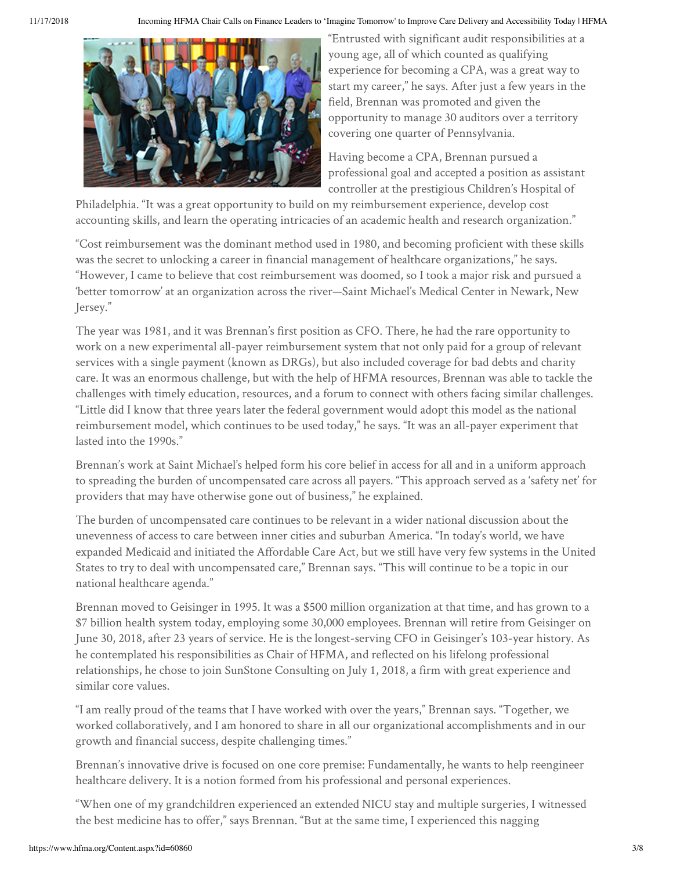

"Entrusted with significant audit responsibilities at a young age, all of which counted as qualifying experience for becoming a CPA, was a great way to start my career," he says. After just a few years in the field, Brennan was promoted and given the opportunity to manage 30 auditors over a territory covering one quarter of Pennsylvania.

Having become a CPA, Brennan pursued a professional goal and accepted a position as assistant controller at the prestigious Children's Hospital of

Philadelphia. "It was a great opportunity to build on my reimbursement experience, develop cost accounting skills, and learn the operating intricacies of an academic health and research organization."

"Cost reimbursement was the dominant method used in 1980, and becoming proficient with these skills was the secret to unlocking a career in financial management of healthcare organizations," he says. "However, I came to believe that cost reimbursement was doomed, so I took a major risk and pursued a 'better tomorrow' at an organization across the river—Saint Michael's Medical Center in Newark, New Jersey."

The year was 1981, and it was Brennan's first position as CFO. There, he had the rare opportunity to work on a new experimental all-payer reimbursement system that not only paid for a group of relevant services with a single payment (known as DRGs), but also included coverage for bad debts and charity care. It was an enormous challenge, but with the help of HFMA resources, Brennan was able to tackle the challenges with timely education, resources, and a forum to connect with others facing similar challenges. "Little did I know that three years later the federal government would adopt this model as the national reimbursement model, which continues to be used today," he says. "It was an all-payer experiment that lasted into the 1990s."

Brennan's work at Saint Michael's helped form his core belief in access for all and in a uniform approach to spreading the burden of uncompensated care across all payers. "This approach served as a 'safety net' for providers that may have otherwise gone out of business," he explained.

The burden of uncompensated care continues to be relevant in a wider national discussion about the unevenness of access to care between inner cities and suburban America. "In today's world, we have expanded Medicaid and initiated the Affordable Care Act, but we still have very few systems in the United States to try to deal with uncompensated care," Brennan says. "This will continue to be a topic in our national healthcare agenda."

Brennan moved to Geisinger in 1995. It was a \$500 million organization at that time, and has grown to a \$7 billion health system today, employing some 30,000 employees. Brennan will retire from Geisinger on June 30, 2018, after 23 years of service. He is the longest-serving CFO in Geisinger's 103-year history. As he contemplated his responsibilities as Chair of HFMA, and reflected on his lifelong professional relationships, he chose to join SunStone Consulting on July 1, 2018, a firm with great experience and similar core values.

"I am really proud of the teams that I have worked with over the years," Brennan says. "Together, we worked collaboratively, and I am honored to share in all our organizational accomplishments and in our growth and financial success, despite challenging times."

Brennan's innovative drive is focused on one core premise: Fundamentally, he wants to help reengineer healthcare delivery. It is a notion formed from his professional and personal experiences.

"When one of my grandchildren experienced an extended NICU stay and multiple surgeries, I witnessed the best medicine has to offer," says Brennan. "But at the same time, I experienced this nagging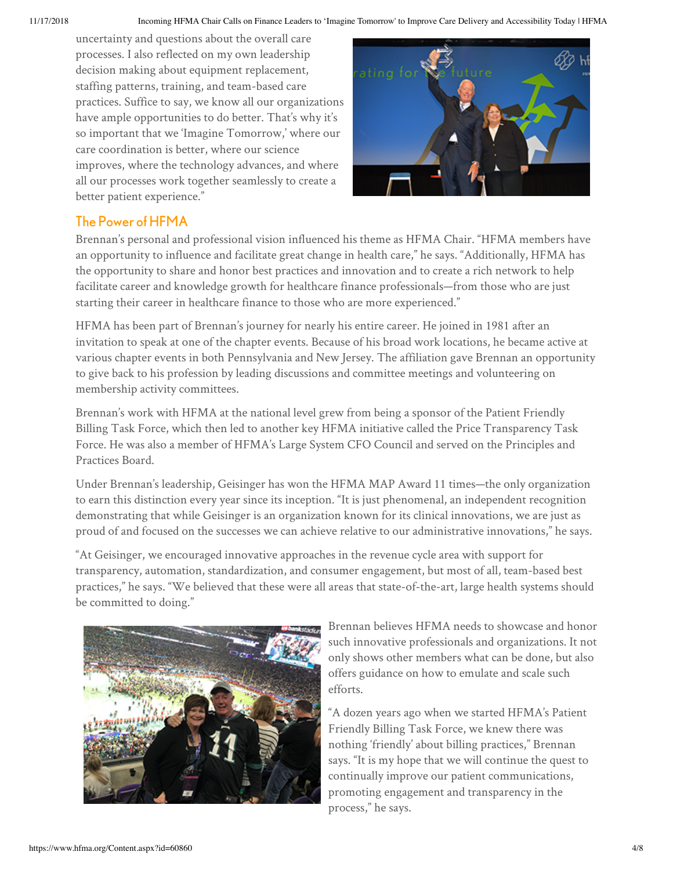uncertainty and questions about the overall care processes. I also reflected on my own leadership decision making about equipment replacement, staffing patterns, training, and team-based care practices. Suffice to say, we know all our organizations have ample opportunities to do better. That's why it's so important that we 'Imagine Tomorrow,' where our care coordination is better, where our science improves, where the technology advances, and where all our processes work together seamlessly to create a better patient experience."



## The Power of HFMA

Brennan's personal and professional vision influenced his theme as HFMA Chair. "HFMA members have an opportunity to influence and facilitate great change in health care," he says. "Additionally, HFMA has the opportunity to share and honor best practices and innovation and to create a rich network to help facilitate career and knowledge growth for healthcare finance professionals—from those who are just starting their career in healthcare finance to those who are more experienced."

HFMA has been part of Brennan's journey for nearly his entire career. He joined in 1981 after an invitation to speak at one of the chapter events. Because of his broad work locations, he became active at various chapter events in both Pennsylvania and New Jersey. The affiliation gave Brennan an opportunity to give back to his profession by leading discussions and committee meetings and volunteering on membership activity committees.

Brennan's work with HFMA at the national level grew from being a sponsor of the Patient Friendly Billing Task Force, which then led to another key HFMA initiative called the Price Transparency Task Force. He was also a member of HFMA's Large System CFO Council and served on the Principles and Practices Board.

Under Brennan's leadership, Geisinger has won the HFMA MAP Award 11 times—the only organization to earn this distinction every year since its inception. "It is just phenomenal, an independent recognition demonstrating that while Geisinger is an organization known for its clinical innovations, we are just as proud of and focused on the successes we can achieve relative to our administrative innovations," he says.

"At Geisinger, we encouraged innovative approaches in the revenue cycle area with support for transparency, automation, standardization, and consumer engagement, but most of all, team-based best practices," he says. "We believed that these were all areas that state-of-the-art, large health systems should be committed to doing."



Brennan believes HFMA needs to showcase and honor such innovative professionals and organizations. It not only shows other members what can be done, but also offers guidance on how to emulate and scale such efforts.

"A dozen years ago when we started HFMA's Patient Friendly Billing Task Force, we knew there was nothing 'friendly' about billing practices," Brennan says. "It is my hope that we will continue the quest to continually improve our patient communications, promoting engagement and transparency in the process," he says.